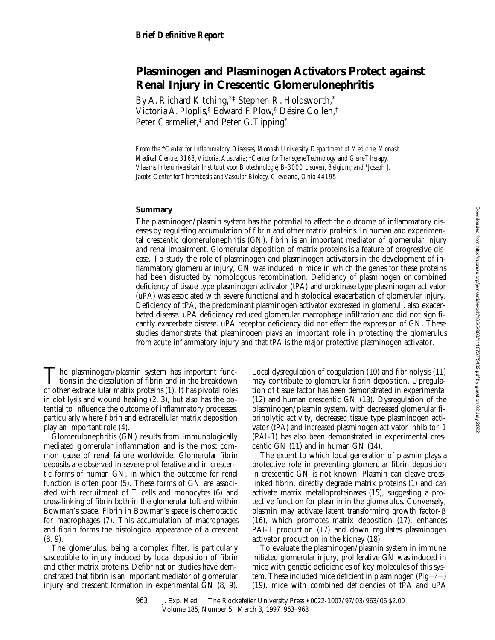# **Plasminogen and Plasminogen Activators Protect against Renal Injury in Crescentic Glomerulonephritis**

By A. Richard Kitching,\*‡ Stephen R. Holdsworth,\* Victoria A. Ploplis,§ Edward F. Plow,§ Désiré Collen,‡ Peter Carmeliet,<sup>‡</sup> and Peter G. Tipping<sup>\*</sup>

*From the* \**Center for Inflammatory Diseases, Monash University Department of Medicine, Monash Medical Centre, 3168, Victoria, Australia;* ‡*Center for Transgene Technology and Gene Therapy, Vlaams Interuniversitair Instituut voor Biotechnologie, B-3000 Leuven, Belgium; and* §*Joseph J. Jacobs Center for Thrombosis and Vascular Biology, Cleveland, Ohio 44195*

## **Summary**

The plasminogen/plasmin system has the potential to affect the outcome of inflammatory diseases by regulating accumulation of fibrin and other matrix proteins. In human and experimental crescentic glomerulonephritis (GN), fibrin is an important mediator of glomerular injury and renal impairment. Glomerular deposition of matrix proteins is a feature of progressive disease. To study the role of plasminogen and plasminogen activators in the development of inflammatory glomerular injury, GN was induced in mice in which the genes for these proteins had been disrupted by homologous recombination. Deficiency of plasminogen or combined deficiency of tissue type plasminogen activator (tPA) and urokinase type plasminogen activator (uPA) was associated with severe functional and histological exacerbation of glomerular injury. Deficiency of tPA, the predominant plasminogen activator expressed in glomeruli, also exacerbated disease. uPA deficiency reduced glomerular macrophage infiltration and did not significantly exacerbate disease. uPA receptor deficiency did not effect the expression of GN. These studies demonstrate that plasminogen plays an important role in protecting the glomerulus from acute inflammatory injury and that tPA is the major protective plasminogen activator.

The plasminogen/plasmin system has important functions in the dissolution of fibrin and in the breakdown of other extracellular matrix proteins (1). It has pivotal roles in clot lysis and wound healing (2, 3), but also has the potential to influence the outcome of inflammatory processes, particularly where fibrin and extracellular matrix deposition play an important role (4).

Glomerulonephritis (GN) results from immunologically mediated glomerular inflammation and is the most common cause of renal failure worldwide. Glomerular fibrin deposits are observed in severe proliferative and in crescentic forms of human GN, in which the outcome for renal function is often poor (5). These forms of GN are associated with recruitment of T cells and monocytes (6) and cross-linking of fibrin both in the glomerular tuft and within Bowman's space. Fibrin in Bowman's space is chemotactic for macrophages (7). This accumulation of macrophages and fibrin forms the histological appearance of a crescent (8, 9).

The glomerulus, being a complex filter, is particularly susceptible to injury induced by local deposition of fibrin and other matrix proteins. Defibrination studies have demonstrated that fibrin is an important mediator of glomerular injury and crescent formation in experimental GN (8, 9).

Local dysregulation of coagulation (10) and fibrinolysis (11) may contribute to glomerular fibrin deposition. Upregulation of tissue factor has been demonstrated in experimental (12) and human crescentic GN (13). Dysregulation of the plasminogen/plasmin system, with decreased glomerular fibrinolytic activity, decreased tissue type plasminogen activator (tPA) and increased plasminogen activator inhibitor-1 (PAI-1) has also been demonstrated in experimental crescentic GN (11) and in human GN (14).

The extent to which local generation of plasmin plays a protective role in preventing glomerular fibrin deposition in crescentic GN is not known. Plasmin can cleave crosslinked fibrin, directly degrade matrix proteins (1) and can activate matrix metalloproteinases (15), suggesting a protective function for plasmin in the glomerulus. Conversely, plasmin may activate latent transforming growth factor- $\beta$ (16), which promotes matrix deposition (17), enhances PAI-1 production (17) and down regulates plasminogen activator production in the kidney (18).

To evaluate the plasminogen/plasmin system in immune initiated glomerular injury, proliferative GN was induced in mice with genetic deficiencies of key molecules of this system. These included mice deficient in plasminogen  $(Plg-\prime -)$ (19), mice with combined deficiencies of tPA and uPA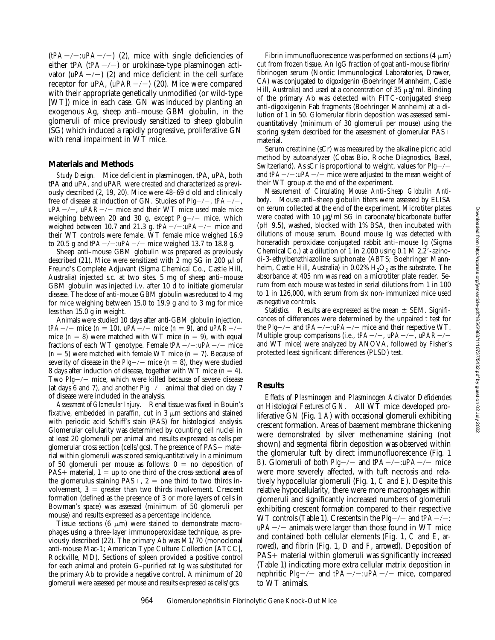$(tPA<sub>-/-</sub>:uPA<sub>-/-</sub>)$  (2), mice with single deficiencies of either tPA  $(tPA-/-)$  or urokinase-type plasminogen activator  $(uPA-/-)$  (2) and mice deficient in the cell surface receptor for uPA,  $(uPAR-/-)$  (20). Mice were compared with their appropriate genetically unmodified (or wild-type [WT]) mice in each case. GN was induced by planting an exogenous Ag, sheep anti–mouse GBM globulin, in the glomeruli of mice previously sensitized to sheep globulin (SG) which induced a rapidly progressive, proliferative GN with renal impairment in WT mice.

#### **Materials and Methods**

*Study Design.* Mice deficient in plasminogen, tPA, uPA, both tPA and uPA, and uPAR were created and characterized as previously described (2, 19, 20). Mice were 48–69 d old and clinically free of disease at induction of GN. Studies of *Plg*-/-, *tPA*-/-,  $uPA-/-$ ,  $uPAR-/-$  mice and their WT mice used male mice weighing between 20 and 30 g, except *Plg-/-* mice, which weighed between 10.7 and 21.3 g.  $tPA-/- : uPA-/-$  mice and their WT controls were female. WT female mice weighed 16.9 to 20.5 g and  $tPA-/-$ : $uPA-/-$  mice weighed 13.7 to 18.8 g.

Sheep anti–mouse GBM globulin was prepared as previously described (21). Mice were sensitized with 2 mg SG in 200  $\mu$ l of Freund's Complete Adjuvant (Sigma Chemical Co., Castle Hill, Australia) injected s.c. at two sites. 5 mg of sheep anti–mouse GBM globulin was injected i.v. after 10 d to initiate glomerular disease. The dose of anti-mouse GBM globulin was reduced to 4 mg for mice weighing between 15.0 to 19.9 g and to 3 mg for mice less than 15.0 g in weight.

Animals were studied 10 days after anti-GBM globulin injection. *tPA* $-/-$  mice (*n* = 10), *uPA* $-/-$  mice (*n* = 9), and *uPAR* $-/$ mice  $(n = 8)$  were matched with WT mice  $(n = 9)$ , with equal fractions of each WT genotype. Female  $tPA-/- : uPA-/-$  mice  $(n = 5)$  were matched with female WT mice  $(n = 7)$ . Because of severity of disease in the  $Plg$ <sup>-/-</sup> mice ( $n = 8$ ), they were studied 8 days after induction of disease, together with WT mice  $(n = 4)$ . Two *Plg-/-* mice, which were killed because of severe disease (at days 6 and 7), and another  $Plg$ <sup>-</sup>/- animal that died on day 7 of disease were included in the analysis.

*Assessment of Glomerular Injury.* Renal tissue was fixed in Bouin's fixative, embedded in paraffin, cut in 3  $\mu$ m sections and stained with periodic acid Schiff's stain (PAS) for histological analysis. Glomerular cellularity was determined by counting cell nuclei in at least 20 glomeruli per animal and results expressed as cells per glomerular cross section (cells/gcs). The presence of  $PAS+$  material within glomeruli was scored semiquantitatively in a minimum of 50 glomeruli per mouse as follows:  $0 =$  no deposition of  $PAS+$  material,  $1 = \text{up to one third of the cross-sectional area of}$ the glomerulus staining PAS+,  $2 =$  one third to two thirds involvement,  $3 =$  greater than two thirds involvement. Crescent formation (defined as the presence of 3 or more layers of cells in Bowman's space) was assessed (minimum of 50 glomeruli per mouse) and results expressed as a percentage incidence.

Tissue sections  $(6 \mu m)$  were stained to demonstrate macrophages using a three-layer immunoperoxidase technique, as previously described (22). The primary Ab was M1/70 (monoclonal anti-mouse Mac-1; American Type Culture Collection [ATCC], Rockville, MD). Sections of spleen provided a positive control for each animal and protein G–purified rat Ig was substituted for the primary Ab to provide a negative control. A minimum of 20 glomeruli were assessed per mouse and results expressed as cells/gcs.

Fibrin immunofluorescence was performed on sections (4  $\mu$ m) cut from frozen tissue. An IgG fraction of goat anti–mouse fibrin/ fibrinogen serum (Nordic Immunological Laboratories, Drawer, CA) was conjugated to digoxigenin (Boehringer Mannheim, Castle Hill, Australia) and used at a concentration of 35  $\mu$ g/ml. Binding of the primary Ab was detected with FITC-conjugated sheep anti-digoxigenin Fab fragments (Boehringer Mannheim) at a dilution of 1 in 50. Glomerular fibrin deposition was assessed semiquantitatively (minimum of 30 glomeruli per mouse) using the scoring system described for the assessment of glomerular  $PAS+$ material.

Serum creatinine (sCr) was measured by the alkaline picric acid method by autoanalyzer (Cobas Bio, Roche Diagnostics, Basel, Switzerland). As sCr is proportional to weight, values for  $Plg-\prime$ and  $tPA-\prime$ -*:uPA*- $\prime$ - mice were adjusted to the mean weight of their WT group at the end of the experiment.

*Measurement of Circulating Mouse Anti–Sheep Globulin Antibody.* Mouse anti–sheep globulin titers were assessed by ELISA on serum collected at the end of the experiment. Microtiter plates were coated with 10  $\mu$ g/ml SG in carbonate/bicarbonate buffer (pH 9.5), washed, blocked with 1% BSA, then incubated with dilutions of mouse serum. Bound mouse Ig was detected with horseradish peroxidase conjugated rabbit anti–mouse Ig (Sigma Chemical Co.) at a dilution of 1 in 2,000 using  $0.1 M 2,2'$ -azinodi-3-ethylbenzthiazoline sulphonate (ABTS; Boehringer Mannheim, Castle Hill, Australia) in  $0.02\%$  H<sub>2</sub>O<sub>2</sub> as the substrate. The absorbance at 405 nm was read on a microtiter plate reader. Serum from each mouse was tested in serial dilutions from 1 in 100 to 1 in 126,000, with serum from six non-immunized mice used as negative controls.

*Statistics.* Results are expressed as the mean  $\pm$  SEM. Significances of differences were determined by the unpaired *t* test for the *Plg* $-/-$  and *tPA* $-/-$ *:uPA* $-/-$  mice and their respective WT. Multiple group comparisons (i.e., *tPA-/-*, *uPA-/-*, *uPAR-/*and WT mice) were analyzed by ANOVA, followed by Fisher's protected least significant differences (PLSD) test.

#### **Results**

*Effects of Plasminogen and Plasminogen Activator Deficiencies on Histological Features of GN.* All WT mice developed proliferative GN (Fig. 1 *A*) with occasional glomeruli exhibiting crescent formation. Areas of basement membrane thickening were demonstrated by silver methenamine staining (not shown) and segmental fibrin deposition was observed within the glomerular tuft by direct immunofluorescence (Fig. 1 *B*). Glomeruli of both *Plg* $-/-$  and *tPA* $-/-$ *:uPA* $-/-$  mice were more severely affected, with tuft necrosis and relatively hypocellular glomeruli (Fig. 1, *C* and *E*). Despite this relative hypocellularity, there were more macrophages within glomeruli and significantly increased numbers of glomeruli exhibiting crescent formation compared to their respective WT controls (Table 1). Crescents in the  $Plg-\prime$  and  $tPA-\prime$ *:*  $uPA-/-$  animals were larger than those found in WT mice and contained both cellular elements (Fig. 1, *C* and *E*, *arrowed*), and fibrin (Fig. 1, *D* and *F*, *arrowed*). Deposition of  $PAS+$  material within glomeruli was significantly increased (Table 1) indicating more extra cellular matrix deposition in nephritic  $Plg$ <sup>2</sup>/<sup>2</sup> and *tPA<sup>2</sup>/<sup>2</sup> :uPA<sup>2</sup>/<sup>2</sup> mice, compared* to WT animals.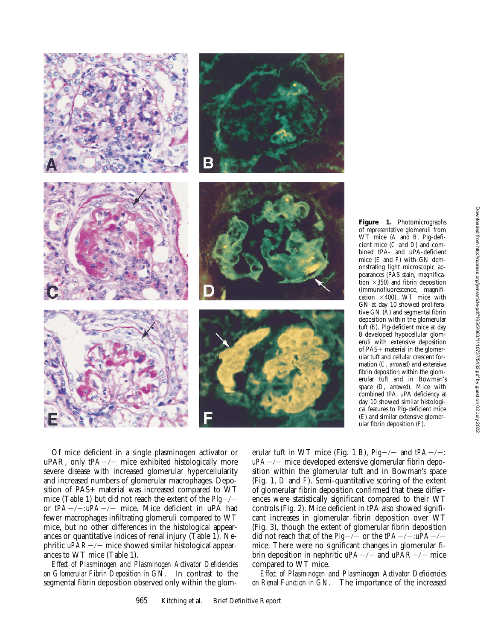

of representative glomeruli from WT mice (*A* and *B*, Plg-deficient mice (*C* and *D*) and combined tPA- and uPA-deficient mice (*E* and *F*) with GN demonstrating light microscopic appearances (PAS stain, magnification  $\times$ 350) and fibrin deposition (immunofluorescence, magnification  $\times$ 400). WT mice with GN at day 10 showed proliferative GN (*A*) and segmental fibrin deposition within the glomerular tuft (*B*). Plg-deficient mice at day 8 developed hypocellular glomeruli with extensive deposition of  $PAS+$  material in the glomerular tuft and cellular crescent formation (*C, arrowed*) and extensive fibrin deposition within the glomerular tuft and in Bowman's space (*D, arrowed*). Mice with combined tPA, uPA deficiency at day 10 showed similar histological features to Plg-deficient mice (*E*) and similar extensive glomerular fibrin deposition (*F*).

Of mice deficient in a single plasminogen activator or uPAR, only  $tPA-/-$  mice exhibited histologically more severe disease with increased glomerular hypercellularity and increased numbers of glomerular macrophages. Deposition of PAS+ material was increased compared to WT mice (Table 1) but did not reach the extent of the  $Plg$ <sup>-/-</sup> or  $tPA-/-uPA-/-$  mice. Mice deficient in uPA had fewer macrophages infiltrating glomeruli compared to WT mice, but no other differences in the histological appearances or quantitative indices of renal injury (Table 1). Nephritic *uPAR-/-* mice showed similar histological appearances to WT mice (Table 1).

*Effect of Plasminogen and Plasminogen Activator Deficiencies on Glomerular Fibrin Deposition in GN.* In contrast to the segmental fibrin deposition observed only within the glomerular tuft in WT mice (Fig. 1 *B*),  $Plg$ <sup>-/-</sup> and  $tPA$ <sup>-/-</sup>*:*  $uPA-/-$  mice developed extensive glomerular fibrin deposition within the glomerular tuft and in Bowman's space (Fig. 1, *D* and *F*). Semi-quantitative scoring of the extent of glomerular fibrin deposition confirmed that these differences were statistically significant compared to their WT controls (Fig. 2). Mice deficient in tPA also showed significant increases in glomerular fibrin deposition over WT (Fig. 3), though the extent of glomerular fibrin deposition did not reach that of the  $Plg$ <sup>-/-</sup> or the  $tPA$ <sup>-/-</sup> $:uPA$ <sup>-/-</sup> mice. There were no significant changes in glomerular fibrin deposition in nephritic  $uPA-/-$  and  $uPAR-/-$  mice compared to WT mice.

*Effect of Plasminogen and Plasminogen Activator Deficiencies on Renal Function in GN.* The importance of the increased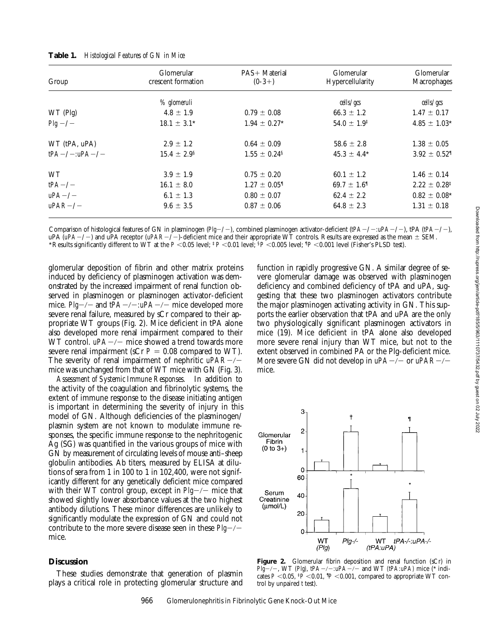| Glomerular<br>crescent formation | PAS+ Material<br>$(0-3+)$    | Glomerular<br>Hypercellularity | Glomerular<br>Macrophages    |
|----------------------------------|------------------------------|--------------------------------|------------------------------|
|                                  |                              | cells/gcs                      | cells/gcs                    |
| $4.8 \pm 1.9$                    | $0.79 \pm 0.08$              | $66.3 \pm 1.2$                 | $1.47 \pm 0.17$              |
| $18.1 \pm 3.1^*$                 | $1.94 \pm 0.27$ *            | $54.0 \pm 1.9^{\ddagger}$      | $4.85 \pm 1.03*$             |
| $2.9 \pm 1.2$                    | $0.64 \pm 0.09$              | $58.6 \pm 2.8$                 | $1.38 \pm 0.05$              |
| $15.4 \pm 2.9^{\circ}$           | $1.55 \pm 0.24$ <sup>§</sup> | $45.3 \pm 4.4^*$               | $3.92 \pm 0.52$ <sup>1</sup> |
| $3.9 \pm 1.9$                    | $0.75 \pm 0.20$              | $60.1 \pm 1.2$                 | $1.46 \pm 0.14$              |
| $16.1 \pm 8.0$                   | $1.27 \pm 0.05$ <sup>1</sup> | $69.7 \pm 1.61$                | $2.22 \pm 0.28^{\ddagger}$   |
| $6.1 \pm 1.3$                    | $0.80 \pm 0.07$              | $62.4 \pm 2.2$                 | $0.82 \pm 0.08^*$            |
| $9.6 \pm 3.5$                    | $0.87 \pm 0.06$              | $64.8 \pm 2.3$                 | $1.31 \pm 0.18$              |
|                                  | % glomeruli                  |                                |                              |

Comparison of histological features of GN in plasminogen (*Plg*-/-), combined plasminogen activator-deficient (*tPA-/-:uPA-/-*), tPA (*tPA-/-*), uPA  $(uPA-/-)$  and uPA receptor  $(uPAR-/-)$ -deficient mice and their appropriate WT controls. Results are expressed as the mean  $\pm$  SEM. \*Results significantly different to WT at the  $P < 0.05$  level;  $\frac{p}{p} < 0.01$  level;  $\frac{5p}{p} < 0.005$  level;  $\frac{1}{p} < 0.001$  level (Fisher's PLSD test).

glomerular deposition of fibrin and other matrix proteins induced by deficiency of plasminogen activation was demonstrated by the increased impairment of renal function observed in plasminogen or plasminogen activator-deficient mice. *Plg-/-* and  $tPA-/-$ : $uPA-/-$  mice developed more severe renal failure, measured by sCr compared to their appropriate WT groups (Fig. 2). Mice deficient in tPA alone also developed more renal impairment compared to their WT control.  $uPA-/-$  mice showed a trend towards more severe renal impairment (sCr  $P = 0.08$  compared to WT). The severity of renal impairment of nephritic  $uPAR-/$ mice was unchanged from that of WT mice with GN (Fig. 3).

*Assessment of Systemic Immune Responses.* In addition to the activity of the coagulation and fibrinolytic systems, the extent of immune response to the disease initiating antigen is important in determining the severity of injury in this model of GN. Although deficiencies of the plasminogen/ plasmin system are not known to modulate immune responses, the specific immune response to the nephritogenic Ag (SG) was quantified in the various groups of mice with GN by measurement of circulating levels of mouse anti–sheep globulin antibodies. Ab titers, measured by ELISA at dilutions of sera from 1 in 100 to 1 in 102,400, were not significantly different for any genetically deficient mice compared with their WT control group, except in  $Plg\rightarrow\$ mice that showed slightly lower absorbance values at the two highest antibody dilutions. These minor differences are unlikely to significantly modulate the expression of GN and could not contribute to the more severe disease seen in these  $Plg-\prime$ mice.

### **Discussion**

These studies demonstrate that generation of plasmin plays a critical role in protecting glomerular structure and function in rapidly progressive GN. A similar degree of severe glomerular damage was observed with plasminogen deficiency and combined deficiency of tPA and uPA, suggesting that these two plasminogen activators contribute the major plasminogen activating activity in GN. This supports the earlier observation that tPA and uPA are the only two physiologically significant plasminogen activators in mice (19). Mice deficient in tPA alone also developed more severe renal injury than WT mice, but not to the extent observed in combined PA or the Plg-deficient mice. More severe GN did not develop in  $uPA-/-$  or  $uPAR-/$ mice.



Figure 2. Glomerular fibrin deposition and renal function (sCr) in *Plg*<sup>-</sup>/-, WT *(Plg)*, *tPA*-/-*:uPA*-/- and WT *(tPA:uPA)* mice (\* indicates  $P < 0.05$ ,  $\frac{1}{7}P < 0.01$ ,  $\frac{1}{7}P < 0.001$ , compared to appropriate WT control by unpaired *t* test).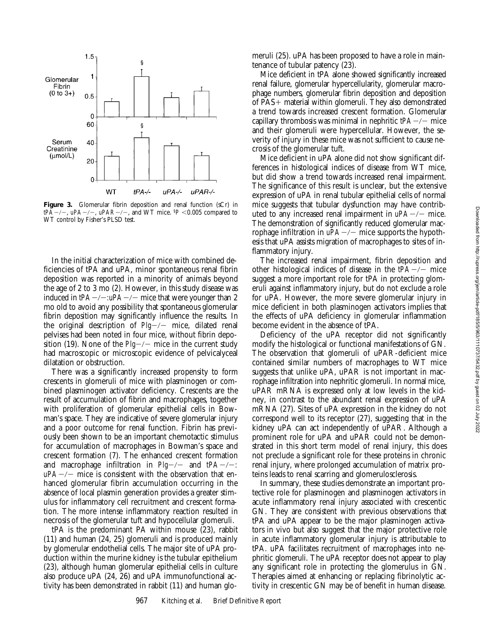

Figure 3. Glomerular fibrin deposition and renal function (sCr) in  $tPA-/-$ ,  $uPA-/-$ ,  $uPAR-/-$ , and WT mice.  $P < 0.005$  compared to WT control by Fisher's PLSD test.

In the initial characterization of mice with combined deficiencies of tPA and uPA, minor spontaneous renal fibrin deposition was reported in a minority of animals beyond the age of 2 to 3 mo (2). However, in this study disease was induced in  $tPA-/-uPA-/-$  mice that were younger than 2 mo old to avoid any possibility that spontaneous glomerular fibrin deposition may significantly influence the results. In the original description of  $Plg\rightarrow\gamma$  mice, dilated renal pelvises had been noted in four mice, without fibrin deposition (19). None of the  $Plg$ <sup>-/-</sup> mice in the current study had macroscopic or microscopic evidence of pelvicalyceal dilatation or obstruction.

There was a significantly increased propensity to form crescents in glomeruli of mice with plasminogen or combined plasminogen activator deficiency. Crescents are the result of accumulation of fibrin and macrophages, together with proliferation of glomerular epithelial cells in Bowman's space. They are indicative of severe glomerular injury and a poor outcome for renal function. Fibrin has previously been shown to be an important chemotactic stimulus for accumulation of macrophages in Bowman's space and crescent formation (7). The enhanced crescent formation and macrophage infiltration in  $Plg$ <sup>-/-</sup> and  $tPA$ <sup>-/-</sup>*:*  $uPA-/-$  mice is consistent with the observation that enhanced glomerular fibrin accumulation occurring in the absence of local plasmin generation provides a greater stimulus for inflammatory cell recruitment and crescent formation. The more intense inflammatory reaction resulted in necrosis of the glomerular tuft and hypocellular glomeruli.

tPA is the predominant PA within mouse (23), rabbit (11) and human (24, 25) glomeruli and is produced mainly by glomerular endothelial cells. The major site of uPA production within the murine kidney is the tubular epithelium (23), although human glomerular epithelial cells in culture also produce uPA (24, 26) and uPA immunofunctional activity has been demonstrated in rabbit (11) and human glomeruli (25). uPA has been proposed to have a role in maintenance of tubular patency (23).

Mice deficient in tPA alone showed significantly increased renal failure, glomerular hypercellularity, glomerular macrophage numbers, glomerular fibrin deposition and deposition of  $PAS+$  material within glomeruli. They also demonstrated a trend towards increased crescent formation. Glomerular capillary thrombosis was minimal in nephritic  $tPA-/-$  mice and their glomeruli were hypercellular. However, the severity of injury in these mice was not sufficient to cause necrosis of the glomerular tuft.

Mice deficient in uPA alone did not show significant differences in histological indices of disease from WT mice, but did show a trend towards increased renal impairment. The significance of this result is unclear, but the extensive expression of uPA in renal tubular epithelial cells of normal mice suggests that tubular dysfunction may have contributed to any increased renal impairment in  $uPA-/-$  mice. The demonstration of significantly reduced glomerular macrophage infiltration in  $uPA-/-$  mice supports the hypothesis that uPA assists migration of macrophages to sites of inflammatory injury.

The increased renal impairment, fibrin deposition and other histological indices of disease in the  $tPA-/-$  mice suggest a more important role for tPA in protecting glomeruli against inflammatory injury, but do not exclude a role for uPA. However, the more severe glomerular injury in mice deficient in both plasminogen activators implies that the effects of uPA deficiency in glomerular inflammation become evident in the absence of tPA.

Deficiency of the uPA receptor did not significantly modify the histological or functional manifestations of GN. The observation that glomeruli of uPAR-deficient mice contained similar numbers of macrophages to WT mice suggests that unlike uPA, uPAR is not important in macrophage infiltration into nephritic glomeruli. In normal mice, uPAR mRNA is expressed only at low levels in the kidney, in contrast to the abundant renal expression of uPA mRNA (27). Sites of uPA expression in the kidney do not correspond well to its receptor (27), suggesting that in the kidney uPA can act independently of uPAR. Although a prominent role for uPA and uPAR could not be demonstrated in this short term model of renal injury, this does not preclude a significant role for these proteins in chronic renal injury, where prolonged accumulation of matrix proteins leads to renal scarring and glomerulosclerosis.

In summary, these studies demonstrate an important protective role for plasminogen and plasminogen activators in acute inflammatory renal injury associated with crescentic GN. They are consistent with previous observations that tPA and uPA appear to be the major plasminogen activators in vivo but also suggest that the major protective role in acute inflammatory glomerular injury is attributable to tPA. uPA facilitates recruitment of macrophages into nephritic glomeruli. The uPA receptor does not appear to play any significant role in protecting the glomerulus in GN. Therapies aimed at enhancing or replacing fibrinolytic activity in crescentic GN may be of benefit in human disease.